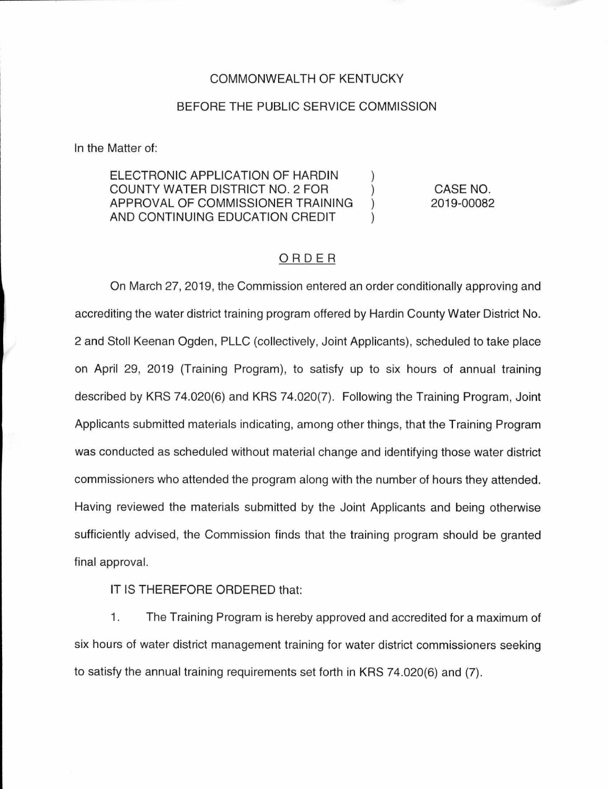## COMMONWEAL TH OF KENTUCKY

## BEFORE THE PUBLIC SERVICE COMMISSION

In the Matter of:

ELECTRONIC APPLICATION OF HARDIN COUNTY WATER DISTRICT NO. 2 FOR APPROVAL OF COMMISSIONER TRAINING AND CONTINUING EDUCATION CREDIT

CASE NO. 2019-00082

## ORDER

 $\lambda$ 

On March 27, 2019, the Commission entered an order conditionally approving and accrediting the water district training program offered by Hardin County Water District No. 2 and Stoll Keenan Ogden, PLLC (collectively, Joint Applicants), scheduled to take place on April 29, 2019 (Training Program), to satisfy up to six hours of annual training described by KRS 74.020(6) and KRS 74.020(7). Following the Training Program, Joint Applicants submitted materials indicating, among other things, that the Training Program was conducted as scheduled without material change and identifying those water district commissioners who attended the program along with the number of hours they attended. Having reviewed the materials submitted by the Joint Applicants and being otherwise sufficiently advised, the Commission finds that the training program should be granted final approval.

IT IS THEREFORE ORDERED that:

1. The Training Program is hereby approved and accredited for a maximum of six hours of water district management training for water district commissioners seeking to satisfy the annual training requirements set forth in KRS 74.020(6) and (7).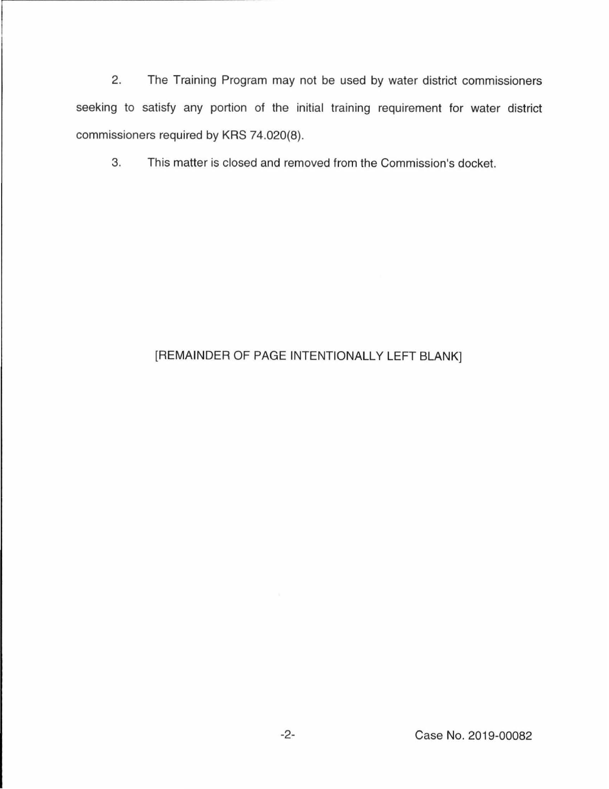2. The Training Program may not be used by water district commissioners seeking to satisfy any portion of the initial training requirement for water district commissioners required by KRS 74.020(8).

3. This matter is closed and removed from the Commission's docket.

## [REMAINDER OF PAGE INTENTIONALLY LEFT BLANK]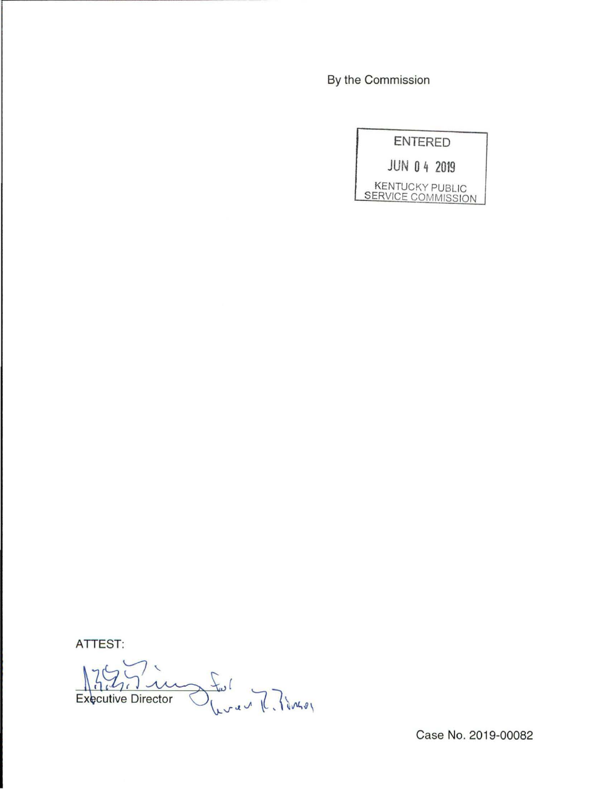By the Commission

|                                                     | <b>ENTERED</b> |                     |
|-----------------------------------------------------|----------------|---------------------|
|                                                     |                | <b>JUN 0 4 2019</b> |
| <b>KENTUCKY PUBLIC</b><br><b>SERVICE COMMISSION</b> |                |                     |

**ATTEST:** 

Executive Director Lular R. Pings

Case No. 2019-00082